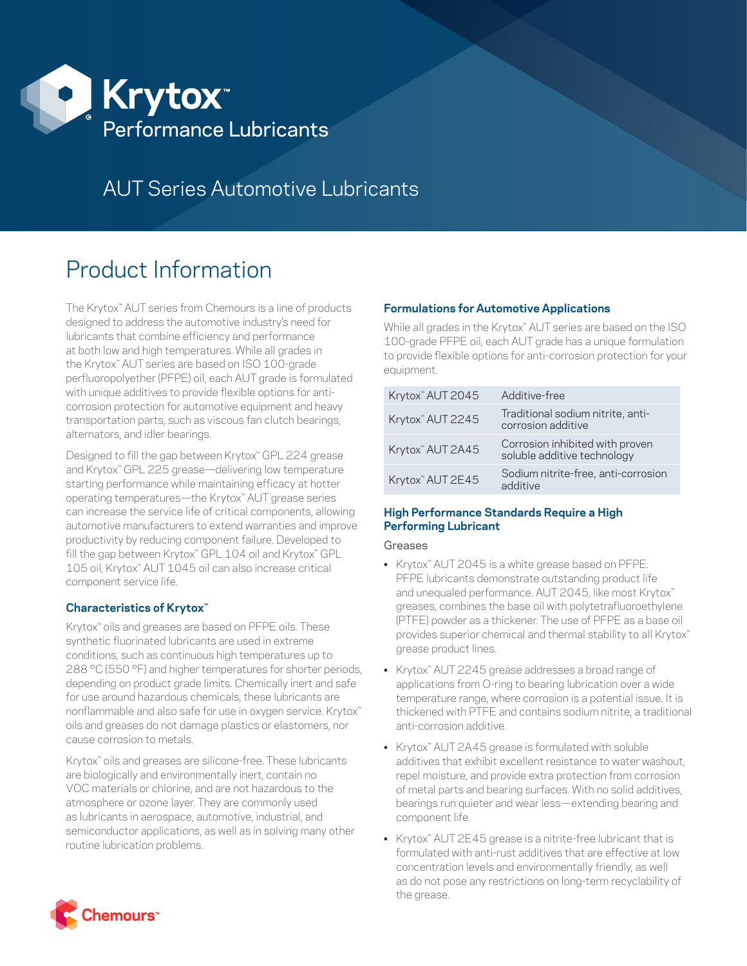

# AUT Series Automotive Lubricants

# Product Information

The Krytox™ AUT series from Chemours is a line of products designed to address the automotive industry's need for lubricants that combine efficiency and performance at both low and high temperatures. While all grades in the Krytox™ AUT series are based on ISO 100-grade perfluoropolyether (PFPE) oil, each AUT grade is formulated with unique additives to provide flexible options for anticorrosion protection for automotive equipment and heavy transportation parts, such as viscous fan clutch bearings, alternators, and idler bearings.

Designed to fill the gap between Krytox™ GPL 224 grease and Krytox™ GPL 225 grease—delivering low temperature starting performance while maintaining efficacy at hotter operating temperatures—the Krytox™ AUT grease series can increase the service life of critical components, allowing automotive manufacturers to extend warranties and improve productivity by reducing component failure. Developed to fill the gap between Krytox<sup>™</sup> GPL 104 oil and Krytox<sup>™</sup> GPL 105 oil, Krytox™ AUT 1045 oil can also increase critical component service life.

# **Characteristics of Krytox™**

Krytox<sup>™</sup> oils and greases are based on PFPE oils. These synthetic fluorinated lubricants are used in extreme conditions, such as continuous high temperatures up to 288 °C (550 °F) and higher temperatures for shorter periods, depending on product grade limits. Chemically inert and safe for use around hazardous chemicals, these lubricants are nonflammable and also safe for use in oxygen service. Krytox™ oils and greases do not damage plastics or elastomers, nor cause corrosion to metals.

Krytox<sup>™</sup> oils and greases are silicone-free. These lubricants are biologically and environmentally inert, contain no VOC materials or chlorine, and are not hazardous to the atmosphere or ozone layer. They are commonly used as lubricants in aerospace, automotive, industrial, and semiconductor applications, as well as in solving many other routine lubrication problems.

# **Formulations for Automotive Applications**

While all grades in the Krytox™ AUT series are based on the ISO 100-grade PFPE oil, each AUT grade has a unique formulation to provide flexible options for anti-corrosion protection for your equipment.

| Krytox" AUT 2045             | Additive-free                                                  |
|------------------------------|----------------------------------------------------------------|
| Krytox" AUT 2245             | Traditional sodium nitrite, anti-<br>corrosion additive        |
| Krytox <sup>™</sup> AUT 2A45 | Corrosion inhibited with proven<br>soluble additive technology |
| Krytox <sup>™</sup> AUT 2E45 | Sodium nitrite-free, anti-corrosion<br>additive                |

# **High Performance Standards Require a High Performing Lubricant**

Greases

- Krytox™ AUT 2045 is a white grease based on PFPE. PFPE lubricants demonstrate outstanding product life and unequaled performance. AUT 2045, like most Krytox™ greases, combines the base oil with polytetrafluoroethylene (PTFE) powder as a thickener. The use of PFPE as a base oil provides superior chemical and thermal stability to all Krytox<sup>™</sup> grease product lines.
- Krytox™ AUT 2245 grease addresses a broad range of applications from O-ring to bearing lubrication over a wide temperature range, where corrosion is a potential issue. It is thickened with PTFE and contains sodium nitrite, a traditional anti-corrosion additive.
- Krytox™ AUT 2A45 grease is formulated with soluble additives that exhibit excellent resistance to water washout, repel moisture, and provide extra protection from corrosion of metal parts and bearing surfaces. With no solid additives, bearings run quieter and wear less—extending bearing and component life.
- Krytox<sup>™</sup> AUT 2E45 grease is a nitrite-free lubricant that is formulated with anti-rust additives that are effective at low concentration levels and environmentally friendly, as well as do not pose any restrictions on long-term recyclability of the grease.